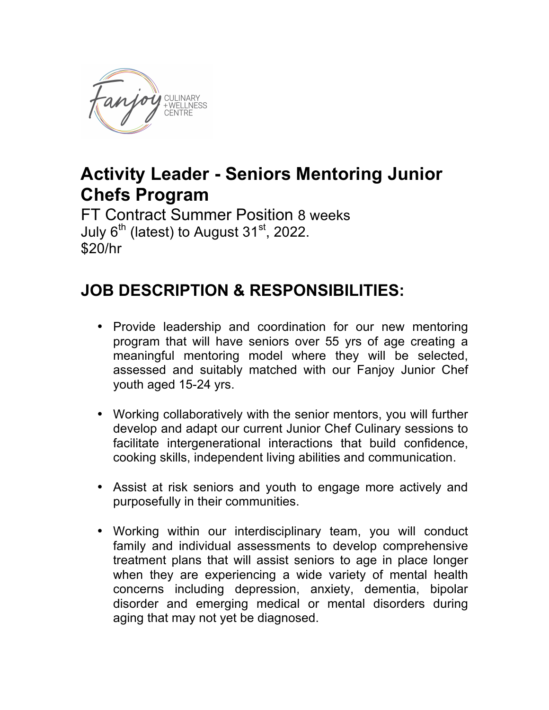

## **Activity Leader - Seniors Mentoring Junior Chefs Program**

FT Contract Summer Position 8 weeks July  $6<sup>th</sup>$  (latest) to August 31 $st$ , 2022. \$20/hr

## **JOB DESCRIPTION & RESPONSIBILITIES:**

- Provide leadership and coordination for our new mentoring program that will have seniors over 55 yrs of age creating a meaningful mentoring model where they will be selected, assessed and suitably matched with our Fanjoy Junior Chef youth aged 15-24 yrs.
- Working collaboratively with the senior mentors, you will further develop and adapt our current Junior Chef Culinary sessions to facilitate intergenerational interactions that build confidence, cooking skills, independent living abilities and communication.
- Assist at risk seniors and youth to engage more actively and purposefully in their communities.
- Working within our interdisciplinary team, you will conduct family and individual assessments to develop comprehensive treatment plans that will assist seniors to age in place longer when they are experiencing a wide variety of mental health concerns including depression, anxiety, dementia, bipolar disorder and emerging medical or mental disorders during aging that may not yet be diagnosed.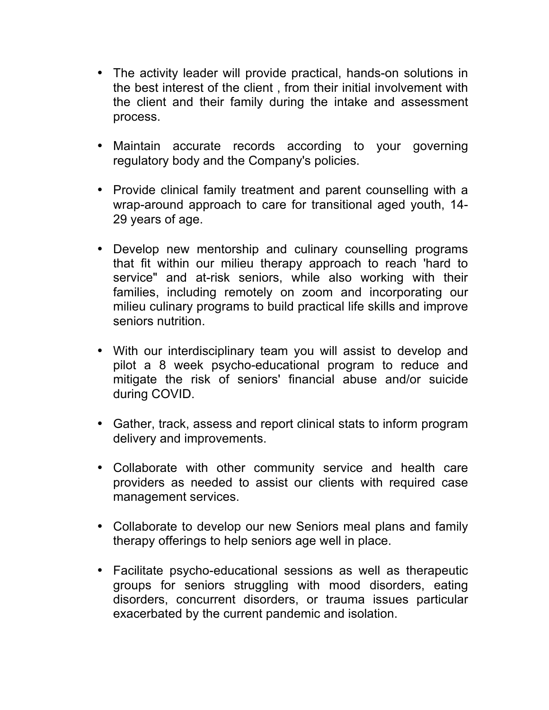- The activity leader will provide practical, hands-on solutions in the best interest of the client , from their initial involvement with the client and their family during the intake and assessment process.
- Maintain accurate records according to your governing regulatory body and the Company's policies.
- Provide clinical family treatment and parent counselling with a wrap-around approach to care for transitional aged youth, 14- 29 years of age.
- Develop new mentorship and culinary counselling programs that fit within our milieu therapy approach to reach 'hard to service" and at-risk seniors, while also working with their families, including remotely on zoom and incorporating our milieu culinary programs to build practical life skills and improve seniors nutrition.
- With our interdisciplinary team you will assist to develop and pilot a 8 week psycho-educational program to reduce and mitigate the risk of seniors' financial abuse and/or suicide during COVID.
- Gather, track, assess and report clinical stats to inform program delivery and improvements.
- Collaborate with other community service and health care providers as needed to assist our clients with required case management services.
- Collaborate to develop our new Seniors meal plans and family therapy offerings to help seniors age well in place.
- Facilitate psycho-educational sessions as well as therapeutic groups for seniors struggling with mood disorders, eating disorders, concurrent disorders, or trauma issues particular exacerbated by the current pandemic and isolation.